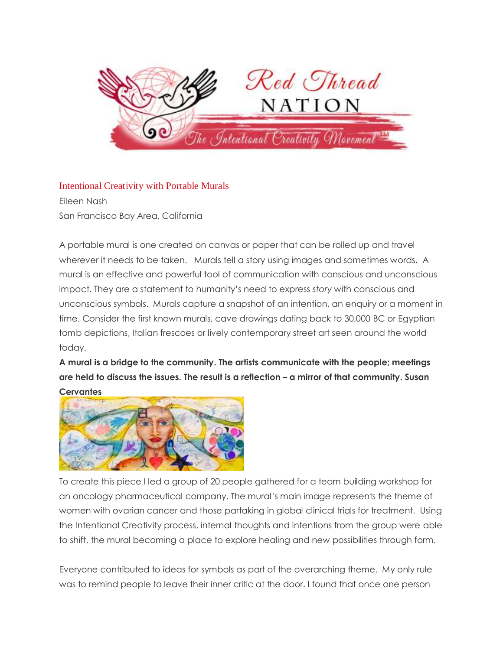

Intentional Creativity with Portable Murals Eileen Nash San Francisco Bay Area, California

A portable mural is one created on canvas or paper that can be rolled up and travel wherever it needs to be taken. Murals tell a story using images and sometimes words. A mural is an effective and powerful tool of communication with conscious and unconscious impact. They are a statement to humanity's need to express *story* with conscious and unconscious symbols. Murals capture a snapshot of an intention, an enquiry or a moment in time. Consider the first known murals, cave drawings dating back to 30,000 BC or Egyptian tomb depictions, Italian frescoes or lively contemporary street art seen around the world today.

**A mural is a bridge to the community. The artists communicate with the people; meetings are held to discuss the issues. The result is a reflection – a mirror of that community. Susan Cervantes**



To create this piece I led a group of 20 people gathered for a team building workshop for an oncology pharmaceutical company. The mural's main image represents the theme of women with ovarian cancer and those partaking in global clinical trials for treatment. Using the Intentional Creativity process, internal thoughts and intentions from the group were able to shift, the mural becoming a place to explore healing and new possibilities through form.

Everyone contributed to ideas for symbols as part of the overarching theme. My only rule was to remind people to leave their inner critic at the door. I found that once one person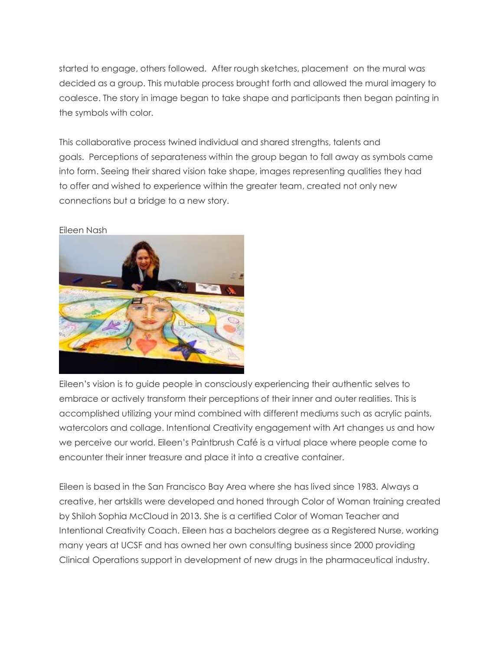started to engage, others followed. After rough sketches, placement on the mural was decided as a group. This mutable process brought forth and allowed the mural imagery to coalesce. The story in image began to take shape and participants then began painting in the symbols with color.

This collaborative process twined individual and shared strengths, talents and goals. Perceptions of separateness within the group began to fall away as symbols came into form. Seeing their shared vision take shape, images representing qualities they had to offer and wished to experience within the greater team, created not only new connections but a bridge to a new story.



Eileen Nash

Eileen's vision is to guide people in consciously experiencing their authentic selves to embrace or actively transform their perceptions of their inner and outer realities. This is accomplished utilizing your mind combined with different mediums such as acrylic paints, watercolors and collage. Intentional Creativity engagement with Art changes us and how we perceive our world. Eileen's Paintbrush Café is a virtual place where people come to encounter their inner treasure and place it into a creative container.

Eileen is based in the San Francisco Bay Area where she has lived since 1983. Always a creative, her artskills were developed and honed through Color of Woman training created by Shiloh Sophia McCloud in 2013. She is a certified Color of Woman Teacher and Intentional Creativity Coach. Eileen has a bachelors degree as a Registered Nurse, working many years at UCSF and has owned her own consulting business since 2000 providing Clinical Operations support in development of new drugs in the pharmaceutical industry.